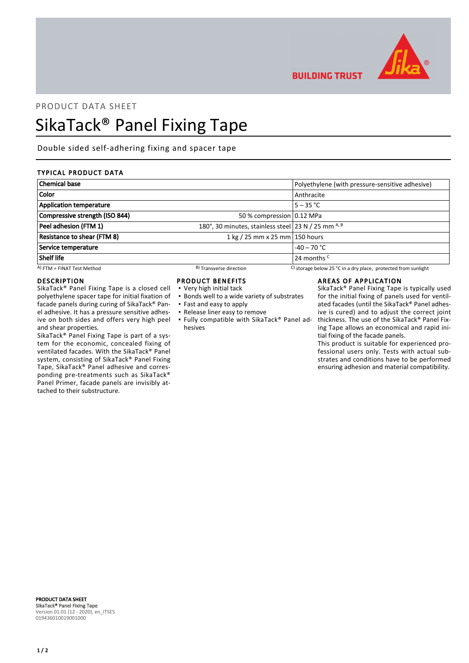

**BUILDING TRUST** 

## PRODUCT DATA SHEET

# SikaTack® Panel Fixing Tape

Double sided self-adhering fixing and spacer tape

## TYPICAL PRODUCT DATA

| <b>Chemical base</b>               |                                                     | Polyethylene (with pressure-sensitive adhesive)                |
|------------------------------------|-----------------------------------------------------|----------------------------------------------------------------|
| <b>Color</b>                       |                                                     | Anthracite                                                     |
| <b>Application temperature</b>     |                                                     | $5 - 35 °C$                                                    |
| Compressive strength (ISO 844)     | 50 % compression 0.12 MPa                           |                                                                |
| Peel adhesion (FTM 1)              | 180°, 30 minutes, stainless steel 23 N / 25 mm A, B |                                                                |
| <b>Resistance to shear (FTM 8)</b> | 1 kg / 25 mm x 25 mm $ $ 150 hours                  |                                                                |
| Service temperature                |                                                     | $-40 - 70$ °C                                                  |
| Shelf life                         |                                                     | 24 months <sup>C</sup>                                         |
| $(A)$ FTM = FINAT Test Method      | <sup>B</sup> ) Transverse direction                 | C) storage below 25 °C in a dry place, protected from sunlight |

#### DESCRIPTION

SikaTack® Panel Fixing Tape is a closed cell polyethylene spacer tape for initial fixation of facade panels during curing of SikaTack® Panel adhesive. It has a pressure sensitive adhesive on both sides and offers very high peel and shear properties.

SikaTack® Panel Fixing Tape is part of a system for the economic, concealed fixing of ventilated facades. With the SikaTack® Panel system, consisting of SikaTack® Panel Fixing Tape, SikaTack® Panel adhesive and corresponding pre-treatments such as SikaTack® Panel Primer, facade panels are invisibly attached to their substructure.

### PRODUCT BENEFITS

- Very high initial tack
- **.** Bonds well to a wide variety of substrates
- Fast and easy to apply
- Release liner easy to remove
- Fully compatible with SikaTack® Panel ad-▪ hesives

#### AREAS OF APPLICATION

SikaTack® Panel Fixing Tape is typically used for the initial fixing of panels used for ventilated facades (until the SikaTack® Panel adhesive is cured) and to adjust the correct joint thickness. The use of the SikaTack® Panel Fixing Tape allows an economical and rapid initial fixing of the facade panels.

This product is suitable for experienced professional users only. Tests with actual substrates and conditions have to be performed ensuring adhesion and material compatibility.

PRODUCT DATA SHEET SikaTack® Panel Fixing Tape Version 01.01 (12 - 2020), en\_ITSES 019436010019001000